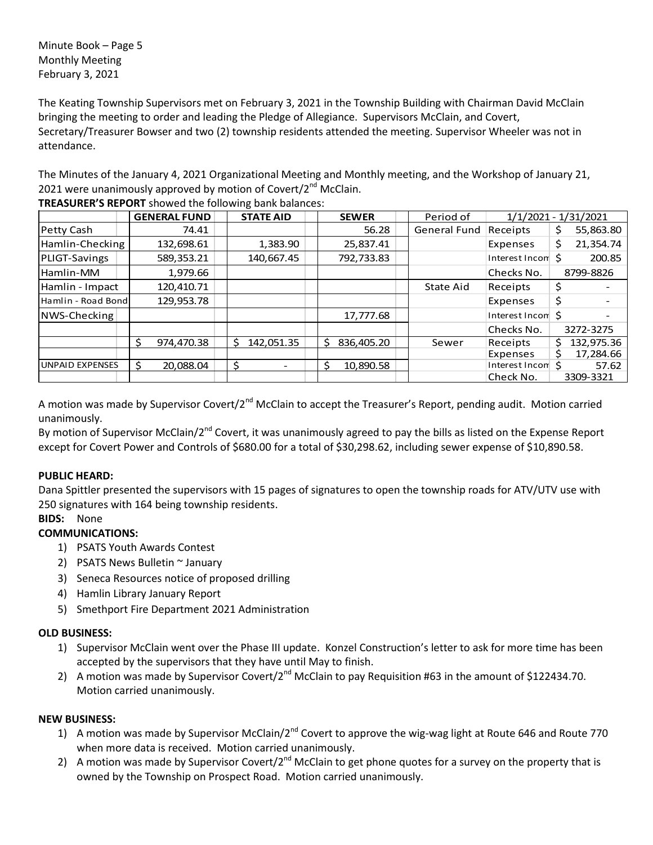Minute Book – Page 5 Monthly Meeting February 3, 2021

The Keating Township Supervisors met on February 3, 2021 in the Township Building with Chairman David McClain bringing the meeting to order and leading the Pledge of Allegiance. Supervisors McClain, and Covert, Secretary/Treasurer Bowser and two (2) township residents attended the meeting. Supervisor Wheeler was not in attendance.

The Minutes of the January 4, 2021 Organizational Meeting and Monthly meeting, and the Workshop of January 21, 2021 were unanimously approved by motion of Covert/ $2<sup>nd</sup>$  McClain.

|                        | <b>GENERAL FUND</b> | <b>STATE AID</b> | <b>SEWER</b>     | Period of    |                   | $1/1/2021 - 1/31/2021$ |
|------------------------|---------------------|------------------|------------------|--------------|-------------------|------------------------|
| Petty Cash             | 74.41               |                  | 56.28            | General Fund | Receipts          | 55,863.80<br>\$        |
| Hamlin-Checking        | 132,698.61          | 1,383.90         | 25,837.41        |              | Expenses          | \$<br>21,354.74        |
| PLIGT-Savings          | 589,353.21          | 140,667.45       | 792,733.83       |              | Interest Incom \$ | 200.85                 |
| Hamlin-MM              | 1,979.66            |                  |                  |              | Checks No.        | 8799-8826              |
| Hamlin - Impact        | 120,410.71          |                  |                  | State Aid    | Receipts          | \$                     |
| Hamlin - Road Bond     | 129,953.78          |                  |                  |              | Expenses          | \$                     |
| NWS-Checking           |                     |                  | 17,777.68        |              | Interest Incom \$ |                        |
|                        |                     |                  |                  |              | Checks No.        | 3272-3275              |
|                        | Ŝ.<br>974,470.38    | 142,051.35<br>Ś. | 836,405.20<br>Ŝ. | Sewer        | Receipts          | 132,975.36<br>S.       |
|                        |                     |                  |                  |              | Expenses          | 17,284.66              |
| <b>UNPAID EXPENSES</b> | 20,088.04           | Ś                | 10,890.58<br>Ś   |              | Interest Incon \$ | 57.62                  |
|                        |                     |                  |                  |              | Check No.         | 3309-3321              |

**TREASURER'S REPORT** showed the following bank balances:

A motion was made by Supervisor Covert/2<sup>nd</sup> McClain to accept the Treasurer's Report, pending audit. Motion carried unanimously.

By motion of Supervisor McClain/2<sup>nd</sup> Covert, it was unanimously agreed to pay the bills as listed on the Expense Report except for Covert Power and Controls of \$680.00 for a total of \$30,298.62, including sewer expense of \$10,890.58.

# **PUBLIC HEARD:**

Dana Spittler presented the supervisors with 15 pages of signatures to open the township roads for ATV/UTV use with 250 signatures with 164 being township residents.

# **BIDS:** None

# **COMMUNICATIONS:**

- 1) PSATS Youth Awards Contest
- 2) PSATS News Bulletin ~ January
- 3) Seneca Resources notice of proposed drilling
- 4) Hamlin Library January Report
- 5) Smethport Fire Department 2021 Administration

## **OLD BUSINESS:**

- 1) Supervisor McClain went over the Phase III update. Konzel Construction's letter to ask for more time has been accepted by the supervisors that they have until May to finish.
- 2) A motion was made by Supervisor Covert/2<sup>nd</sup> McClain to pay Requisition #63 in the amount of \$122434.70. Motion carried unanimously.

## **NEW BUSINESS:**

- 1) A motion was made by Supervisor McClain/2<sup>nd</sup> Covert to approve the wig-wag light at Route 646 and Route 770 when more data is received. Motion carried unanimously.
- 2) A motion was made by Supervisor Covert/2<sup>nd</sup> McClain to get phone quotes for a survey on the property that is owned by the Township on Prospect Road. Motion carried unanimously.